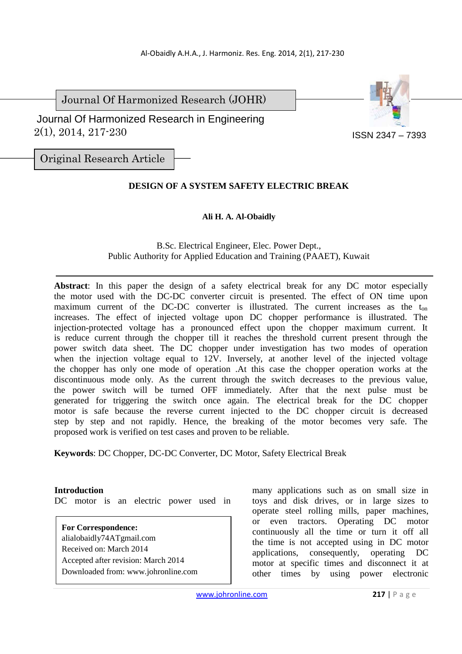Journal Of Harmonized Research (JOHR)



 2(1), 2014, 217-230 Journal Of Harmonized Research in Engineering

Original Research Article

# **DESIGN OF A SYSTEM SAFETY ELECTRIC BREAK**

## **Ali H. A. Al-Obaidly**

B.Sc. Electrical Engineer, Elec. Power Dept., Public Authority for Applied Education and Training (PAAET), Kuwait

**Abstract**: In this paper the design of a safety electrical break for any DC motor especially the motor used with the DC-DC converter circuit is presented. The effect of ON time upon maximum current of the DC-DC converter is illustrated. The current increases as the  $t_{on}$ increases. The effect of injected voltage upon DC chopper performance is illustrated. The injection-protected voltage has a pronounced effect upon the chopper maximum current. It is reduce current through the chopper till it reaches the threshold current present through the power switch data sheet. The DC chopper under investigation has two modes of operation when the injection voltage equal to 12V. Inversely, at another level of the injected voltage the chopper has only one mode of operation .At this case the chopper operation works at the discontinuous mode only. As the current through the switch decreases to the previous value, the power switch will be turned OFF immediately. After that the next pulse must be generated for triggering the switch once again. The electrical break for the DC chopper motor is safe because the reverse current injected to the DC chopper circuit is decreased step by step and not rapidly. Hence, the breaking of the motor becomes very safe. The proposed work is verified on test cases and proven to be reliable.

**Keywords**: DC Chopper, DC-DC Converter, DC Motor, Safety Electrical Break

#### **Introduction**

DC motor is an electric power used in

**For Correspondence:**  alialobaidly74ATgmail.com Received on: March 2014 Accepted after revision: March 2014 Downloaded from: www.johronline.com

many applications such as on small size in toys and disk drives, or in large sizes to operate steel rolling mills, paper machines, or even tractors. Operating DC motor continuously all the time or turn it off all the time is not accepted using in DC motor applications, consequently, operating DC motor at specific times and disconnect it at other times by using power electronic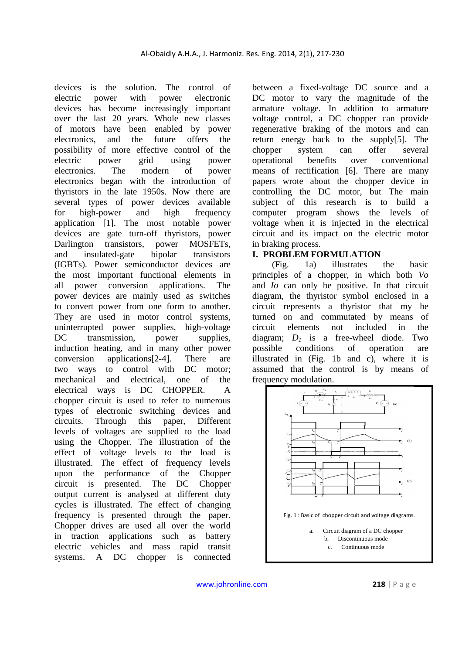devices is the solution. The control of electric power with power electronic devices has become increasingly important over the last 20 years. Whole new classes of motors have been enabled by power electronics, and the future offers the possibility of more effective control of the electric power grid using power electronics. The modern of power electronics began with the introduction of thyristors in the late 1950s. Now there are several types of power devices available for high-power and high frequency application [1]. The most notable power devices are gate turn-off thyristors, power Darlington transistors, power MOSFETs, and insulated-gate bipolar transistors (IGBTs). Power semiconductor devices are the most important functional elements in all power conversion applications. The power devices are mainly used as switches to convert power from one form to another. They are used in motor control systems, uninterrupted power supplies, high-voltage DC transmission, power supplies, induction heating, and in many other power conversion applications[2-4]. There are two ways to control with DC motor; mechanical and electrical, one of the electrical ways is DC CHOPPER. A chopper circuit is used to refer to numerous types of electronic switching devices and circuits. Through this paper, Different levels of voltages are supplied to the load using the Chopper. The illustration of the effect of voltage levels to the load is illustrated. The effect of frequency levels upon the performance of the Chopper circuit is presented. The DC Chopper output current is analysed at different duty cycles is illustrated. The effect of changing frequency is presented through the paper. Chopper drives are used all over the world in traction applications such as battery electric vehicles and mass rapid transit systems. A DC chopper is connected

between a fixed-voltage DC source and a DC motor to vary the magnitude of the armature voltage. In addition to armature voltage control, a DC chopper can provide regenerative braking of the motors and can return energy back to the supply[5]. The chopper system can offer several operational benefits over conventional means of rectification [6]. There are many papers wrote about the chopper device in controlling the DC motor, but The main subject of this research is to build a computer program shows the levels of voltage when it is injected in the electrical circuit and its impact on the electric motor in braking process.

#### **I. PROBLEM FORMULATION**

 (Fig. 1a) illustrates the basic principles of a chopper, in which both *Vo* and *Io* can only be positive. In that circuit diagram, the thyristor symbol enclosed in a circuit represents a thyristor that my be turned on and commutated by means of circuit elements not included in the diagram:  $D_1$  is a free-wheel diode. Two possible conditions of operation are illustrated in (Fig. 1b and c), where it is assumed that the control is by means of frequency modulation.

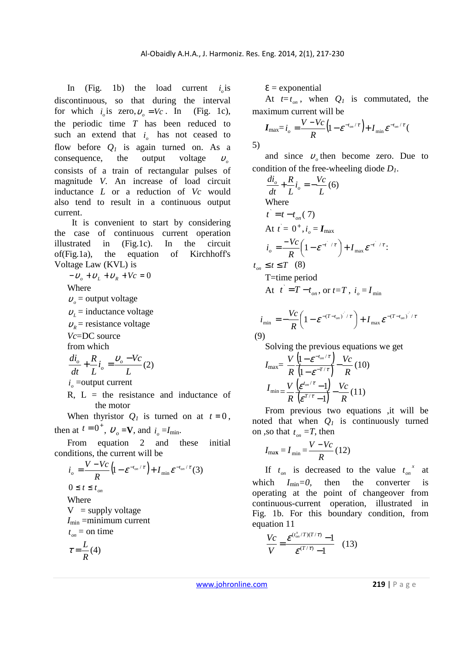5)

In (Fig. 1b) the load current  $i_o$  is discontinuous, so that during the interval for which  $i_o$  is zero,  $v_o = Vc$ . In (Fig. 1c), the periodic time *T* has been reduced to such an extend that  $i<sub>o</sub>$  has not ceased to flow before  $Q_l$  is again turned on. As a consequence, the output voltage  $v_a$ consists of a train of rectangular pulses of magnitude *V*. An increase of load circuit inductance *L* or a reduction of *Vc* would also tend to result in a continuous output current.

It is convenient to start by considering the case of continuous current operation illustrated in (Fig.1c). In the circuit of(Fig.1a), the equation of Kirchhoff's Voltage Law (KVL) is

 $-v_a + v_t + v_R + Vc = 0$ 

Where

 $v<sub>o</sub>$  = output voltage

 $v_l$  = inductance voltage

 $v_{\rm R}$  = resistance voltage

*Vc*=DC source

from which

$$
\frac{di_o}{dt} + \frac{R}{L}i_o = \frac{v_o - Vc}{L}(2)
$$
  
 $i_o$  = output current

 $R, L =$  the resistance and inductance of the motor

When thyristor  $Q_l$  is turned on at  $t = 0$ , then at  $t = 0^+$ ,  $v_o = \mathbf{V}$ , and  $i_o = I_{\text{min}}$ .

From equation 2 and these initial conditions, the current will be

$$
i_o = \frac{V - Vc}{R} \left( 1 - e^{-t_{on}/\tau} \right) + I_{\min} e^{-t_{on}/\tau} \tag{3}
$$
  
0 \le t \le t\_{on}  
Where  
V = supply voltage  
 $I_{\min}$  =minimum current  
 $t_{on}$  = on time  
 $\tau = \frac{L}{R}(4)$ 

 $\epsilon$  = exponential

At  $t=t_{on}$ , when  $Q_l$  is commutated, the maximum current will be

$$
I_{\max} = i_o = \frac{V - Vc}{R} \left( 1 - \varepsilon^{-t_{on}/\tau} \right) + I_{\min} \varepsilon^{-t_{on}/\tau} \left( 1 - \varepsilon^{-t_{on}/\tau} \right)
$$

and since  $v_{o}$  then become zero. Due to condition of the free-wheeling diode *D1*.

$$
\frac{di_o}{dt} + \frac{R}{L}i_o = -\frac{Vc}{L}(6)
$$
  
Where  

$$
\vec{t} = t - t_{on}(7)
$$
  
At  $\vec{t} = 0^+, i_o = I_{max}$   

$$
i_o = \frac{-Vc}{R} \left(1 - \varepsilon^{-\frac{1}{t} / \tau}\right) + I_{max} \varepsilon^{-\frac{1}{t} / \tau}
$$
  

$$
t_{on} \le t \le T
$$
 (8)  
T = time period  
At  $\vec{t} = T - t_{on}$ , or  $t = T$ ,  $i_o = I_{min}$ 

$$
i_{\min} = -\frac{Vc}{R} \left( 1 - \varepsilon^{-(T-t_{on})^2 / \tau} \right) + I_{\max} \varepsilon^{-(T-t_{on})^2 / \tau}
$$
\n(9)

Solving the previous equations we get

$$
I_{\max} = \frac{V}{R} \frac{\left(1 - \varepsilon^{-t_{on}/\tau}\right)}{\left(1 - \varepsilon^{-T/\tau}\right)} - \frac{V_c}{R} (10)
$$

$$
I_{\min} = \frac{V}{R} \frac{\left(\varepsilon^{t_{on}/\tau} - 1\right)}{\left(\varepsilon^{T/\tau} - 1\right)} - \frac{V_c}{R} (11)
$$

From previous two equations ,it will be noted that when  $Q_I$  is continuously turned on ,so that  $t_{on} = T$ , then

$$
I_{\text{max}} = I_{\text{min}} = \frac{V - Vc}{R} (12)
$$

If  $t_{on}$  is decreased to the value  $t_{on}^x$  at which  $I_{\text{min}}=0$ , then the converter is operating at the point of changeover from continuous-current operation, illustrated in Fig. 1b. For this boundary condition, from equation 11

$$
\frac{Vc}{V} = \frac{\varepsilon^{(t_{on}^{x}/T)(T/\tau)} - 1}{\varepsilon^{(T/\tau)} - 1}
$$
 (13)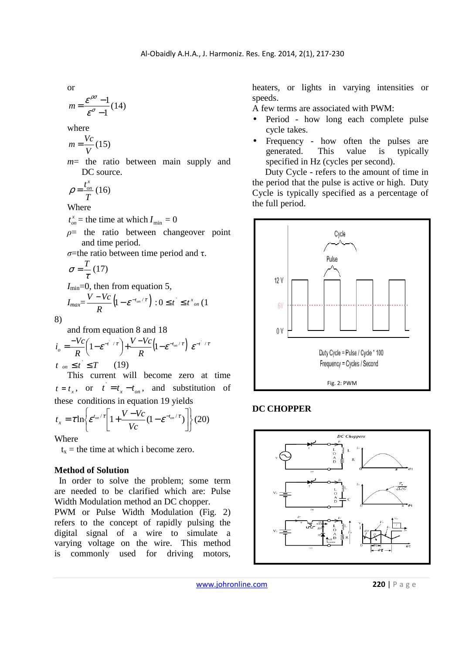or

$$
m = \frac{\varepsilon^{\rho\sigma} - 1}{\varepsilon^{\sigma} - 1} (14)
$$

where

$$
m = \frac{Vc}{V}(15)
$$

*m*= the ratio between main supply and DC source.

$$
\rho = \frac{t_{on}^x}{T} (16)
$$

Where

 $t_{on}^x$  = the time at which  $I_{\min} = 0$ 

- *ρ*= the ratio between changeover point and time period.
- *σ*=the ratio between time period and τ.

$$
\sigma = \frac{T}{\tau} (17)
$$
  
\n
$$
I_{\min} = 0, \text{ then from equation 5,}
$$
  
\n
$$
I_{\max} = \frac{V - Vc}{R} \left( 1 - \varepsilon^{-t_{on}/\tau} \right) : 0 \le t \le t^{x_{on}} (1
$$

8)

and from equation 8 and 18

$$
i_o = \frac{-Vc}{R} \left( 1 - \varepsilon^{-i/(\tau)} \right) + \frac{V - Vc}{R} \left( 1 - \varepsilon^{-t_{on}/\tau} \right) \varepsilon^{-i/(\tau)}
$$
  

$$
t_{on} \leq \hat{t} \leq T \qquad (19)
$$

This current will become zero at time  $t = t_x$ , or  $\vec{t} = t_x - t_{on}$ , and substitution of these conditions in equation 19 yields

$$
t_x = \tau \ln \left\{ \varepsilon^{t_{on}/\tau} \left[ 1 + \frac{V - Vc}{Vc} (1 - \varepsilon^{-t_{on}/\tau}) \right] \right\} (20)
$$

Where

 $t_x$  = the time at which i become zero.

#### **Method of Solution**

 In order to solve the problem; some term are needed to be clarified which are: Pulse Width Modulation method an DC chopper.

PWM or Pulse Width Modulation (Fig. 2) refers to the concept of rapidly pulsing the digital signal of a wire to simulate a varying voltage on the wire. This method is commonly used for driving motors, heaters, or lights in varying intensities or speeds.

A few terms are associated with PWM:

- Period how long each complete pulse cycle takes.
- Frequency how often the pulses are generated. This value is typically specified in Hz (cycles per second).

Duty Cycle - refers to the amount of time in the period that the pulse is active or high. Duty Cycle is typically specified as a percentage of the full period.



## **DC CHOPPER**



www.johronline.com **220** | P a g e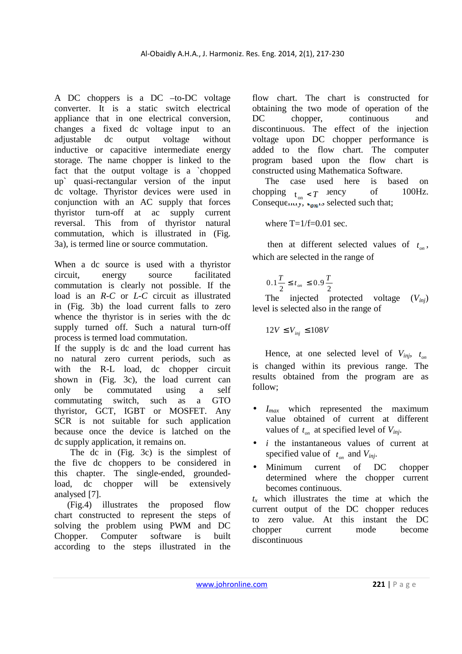A DC choppers is a DC –to-DC voltage converter. It is a static switch electrical appliance that in one electrical conversion, changes a fixed dc voltage input to an adjustable dc output voltage without inductive or capacitive intermediate energy storage. The name chopper is linked to the fact that the output voltage is a `chopped up` quasi-rectangular version of the input dc voltage. Thyristor devices were used in conjunction with an AC supply that forces thyristor turn-off at ac supply current reversal. This from of thyristor natural commutation, which is illustrated in (Fig. 3a), is termed line or source commutation.

When a dc source is used with a thyristor circuit, energy source facilitated commutation is clearly not possible. If the load is an *R-C* or *L-C* circuit as illustrated in (Fig. 3b) the load current falls to zero whence the thyristor is in series with the dc supply turned off. Such a natural turn-off process is termed load commutation.

If the supply is dc and the load current has no natural zero current periods, such as with the R-L load, dc chopper circuit shown in (Fig. 3c), the load current can only be commutated using a self commutating switch, such as a GTO thyristor, GCT, IGBT or MOSFET. Any SCR is not suitable for such application because once the device is latched on the dc supply application, it remains on.

 The dc in (Fig. 3c) is the simplest of the five dc choppers to be considered in this chapter. The single-ended, groundedload, dc chopper will be extensively analysed [7].

(Fig.4) illustrates the proposed flow chart constructed to represent the steps of solving the problem using PWM and DC Chopper. Computer software is built according to the steps illustrated in the

flow chart. The chart is constructed for obtaining the two mode of operation of the DC chopper, continuous and discontinuous. The effect of the injection voltage upon DC chopper performance is added to the flow chart. The computer program based upon the flow chart is constructed using Mathematica Software.

The case used here is based on chopping  $t_{on} < T$  uncy of 100Hz. Consequently,  $\epsilon_{on}$  is selected such that;

where  $T=1/f=0.01$  sec.

then at different selected values of  $t_{on}$ , which are selected in the range of

$$
0.1\frac{T}{2} \le t_{\scriptscriptstyle on} \le 0.9\frac{T}{2}
$$

The injected protected voltage (*Vinj*) level is selected also in the range of

$$
12V \le V_{inj} \le 108V
$$

Hence, at one selected level of  $V_{inj}$ ,  $t_{on}$ is changed within its previous range. The results obtained from the program are as follow;

- $I_{max}$  which represented the maximum value obtained of current at different values of  $t_{on}$  at specified level of  $V_{inj}$ .
- *i* the instantaneous values of current at specified value of  $t_{on}$  and  $V_{inj}$ .
- Minimum current of DC chopper determined where the chopper current becomes continuous.

 $t<sub>x</sub>$  which illustrates the time at which the current output of the DC chopper reduces to zero value. At this instant the DC chopper current mode become discontinuous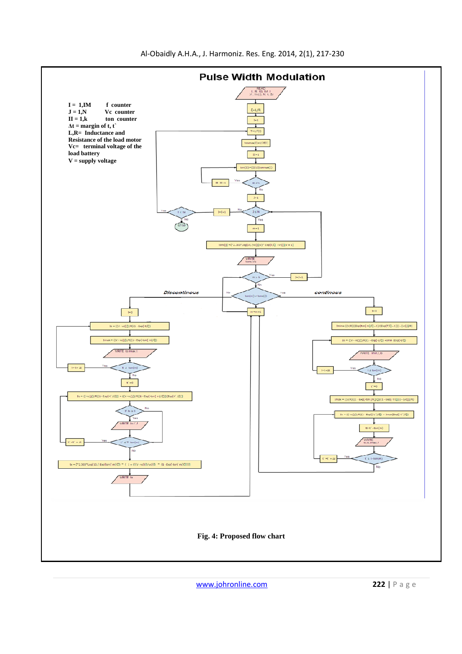

www.johronline.com **222** | P a g e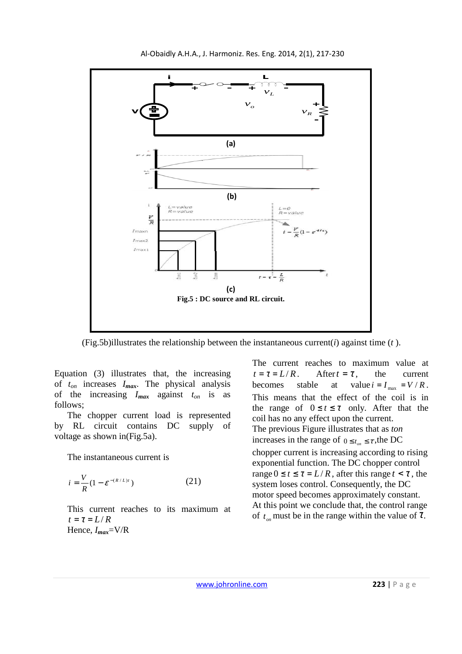

Al-Obaidly A.H.A., J. Harmoniz. Res. Eng. 2014, 2(1), 217-230

(Fig.5b)illustrates the relationship between the instantaneous current(*i*) against time (*t* ).

Equation (3) illustrates that, the increasing of *ton* increases *Imax*. The physical analysis of the increasing *Imax* against *ton* is as follows;

The chopper current load is represented by RL circuit contains DC supply of voltage as shown in(Fig.5a).

The instantaneous current is

$$
i = \frac{V}{R} (1 - \varepsilon^{-(R/L)t})
$$
 (21)

This current reaches to its maximum at  $t = \tau = L/R$ Hence, *Imax*=V/R

The current reaches to maximum value at  $t = \tau = L/R$ . After  $t = \tau$ , the current becomes stable at value  $i = I_{\text{max}} = V/R$ . This means that the effect of the coil is in the range of  $0 \le t \le \tau$  only. After that the coil has no any effect upon the current. The previous Figure illustrates that as *ton* increases in the range of  $0 \le t_{on} \le \tau$ , the DC chopper current is increasing according to rising exponential function. The DC chopper control range  $0 \le t \le \tau = L/R$ , after this range  $t < \tau$ , the system loses control. Consequently, the DC motor speed becomes approximately constant. At this point we conclude that, the control range of  $t_{on}$  must be in the range within the value of  $\tau$ .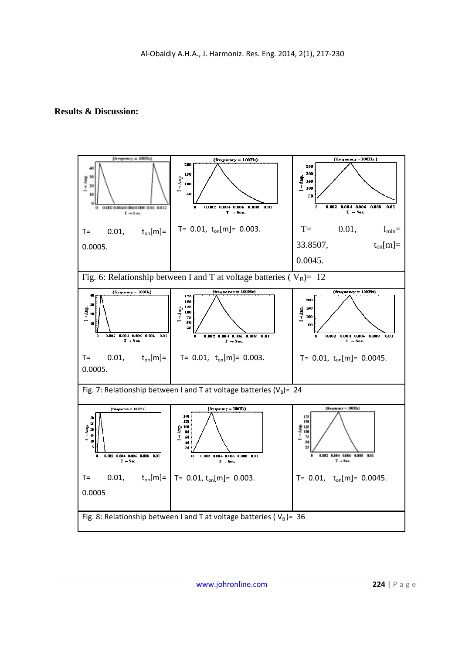# **Results & Discussion:**

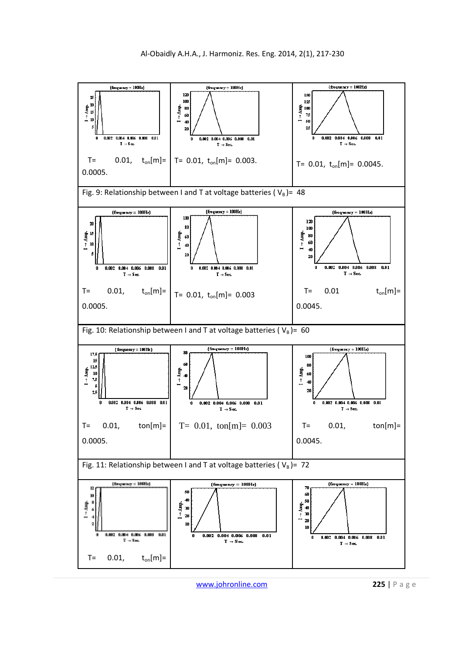

www.johronline.com **225** | P a g e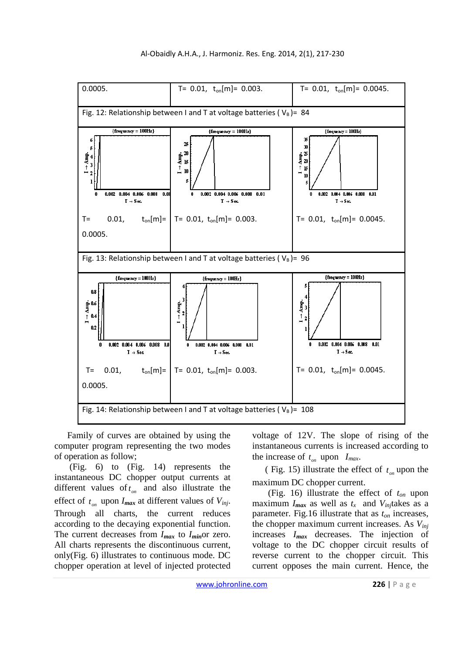

Family of curves are obtained by using the computer program representing the two modes of operation as follow;

 (Fig. 6) to (Fig. 14) represents the instantaneous DC chopper output currents at different values of  $t_{on}$  and also illustrate the effect of  $t_{on}$  upon  $I_{max}$  at different values of  $V_{inj}$ . Through all charts, the current reduces according to the decaying exponential function. The current decreases from *Imax* to *Imin*or zero. All charts represents the discontinuous current, only(Fig. 6) illustrates to continuous mode. DC chopper operation at level of injected protected

voltage of 12V. The slope of rising of the instantaneous currents is increased according to the increase of  $t_{on}$  upon  $I_{max}$ .

(Fig. 15) illustrate the effect of  $t_{on}$  upon the maximum DC chopper current.

 (Fig. 16) illustrate the effect of *ton* upon maximum  $I_{max}$  as well as  $t_x$  and  $V_{inj}$  takes as a parameter. Fig.16 illustrate that as *ton* increases, the chopper maximum current increases. As *Vinj* increases *Imax* decreases. The injection of voltage to the DC chopper circuit results of reverse current to the chopper circuit. This current opposes the main current. Hence, the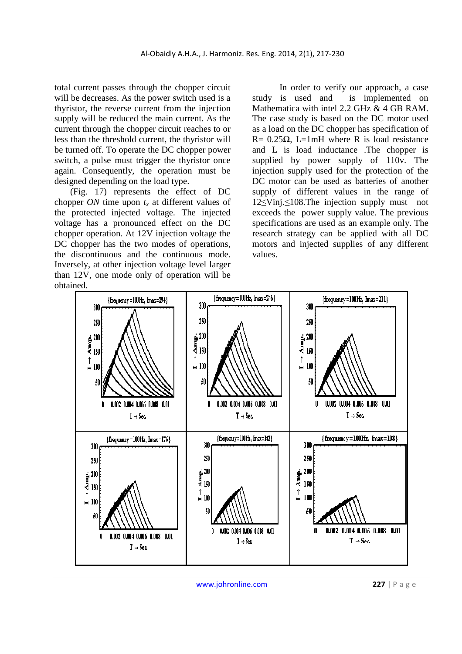total current passes through the chopper circuit will be decreases. As the power switch used is a thyristor, the reverse current from the injection supply will be reduced the main current. As the current through the chopper circuit reaches to or less than the threshold current, the thyristor will be turned off. To operate the DC chopper power switch, a pulse must trigger the thyristor once again. Consequently, the operation must be designed depending on the load type.

 (Fig. 17) represents the effect of DC chopper *ON* time upon *tx* at different values of the protected injected voltage. The injected voltage has a pronounced effect on the DC chopper operation. At 12V injection voltage the DC chopper has the two modes of operations, the discontinuous and the continuous mode. Inversely, at other injection voltage level larger than 12V, one mode only of operation will be obtained.

In order to verify our approach, a case study is used and is implemented on Mathematica with intel 2.2 GHz & 4 GB RAM. The case study is based on the DC motor used as a load on the DC chopper has specification of R=  $0.25\Omega$ , L=1mH where R is load resistance and L is load inductance .The chopper is supplied by power supply of 110v. The injection supply used for the protection of the DC motor can be used as batteries of another supply of different values in the range of 12≤Vinj.≤108.The injection supply must not exceeds the power supply value. The previous specifications are used as an example only. The research strategy can be applied with all DC motors and injected supplies of any different values.



www.johronline.com **227** | P a g e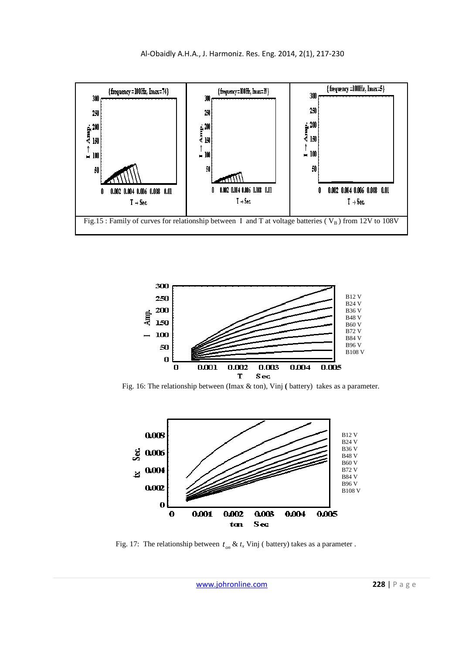



Fig. 16: The relationship between (Imax & ton), Vinj **(** battery) takes as a parameter.



Fig. 17: The relationship between  $t_{on} \& t_x$  Vinj (battery) takes as a parameter.

www.johronline.com **228** | P a g e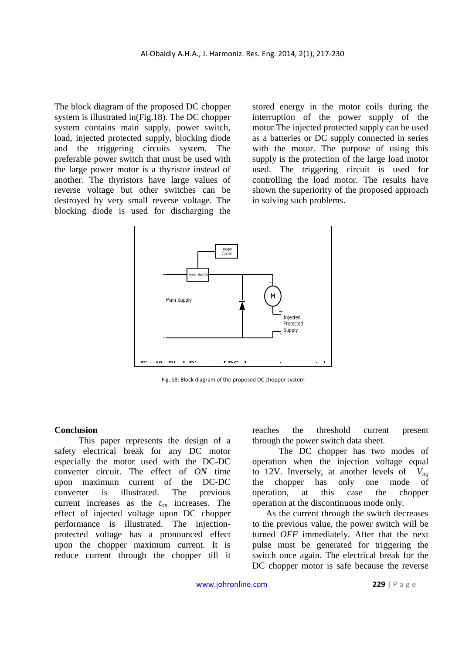The block diagram of the proposed DC chopper system is illustrated in(Fig.18). The DC chopper system contains main supply, power switch, load, injected protected supply, blocking diode and the triggering circuits system. The preferable power switch that must be used with the large power motor is a thyristor instead of another. The thyristors have large values of reverse voltage but other switches can be destroyed by very small reverse voltage. The blocking diode is used for discharging the

stored energy in the motor coils during the interruption of the power supply of the motor.The injected protected supply can be used as a batteries or DC supply connected in series with the motor. The purpose of using this supply is the protection of the large load motor used. The triggering circuit is used for controlling the load motor. The results have shown the superiority of the proposed approach in solving such problems.



Fig. 18: Block diagram of the proposed DC chopper system

#### **Conclusion**

 This paper represents the design of a safety electrical break for any DC motor especially the motor used with the DC-DC converter circuit. The effect of *ON* time upon maximum current of the DC-DC converter is illustrated. The previous current increases as the *ton* increases. The effect of injected voltage upon DC chopper performance is illustrated. The injectionprotected voltage has a pronounced effect upon the chopper maximum current. It is reduce current through the chopper till it reaches the threshold current present through the power switch data sheet.

 The DC chopper has two modes of operation when the injection voltage equal to 12V. Inversely, at another levels of *Vinj* the chopper has only one mode of operation, at this case the chopper operation at the discontinuous mode only.

 As the current through the switch decreases to the previous value, the power switch will be turned *OFF* immediately. After that the next pulse must be generated for triggering the switch once again. The electrical break for the DC chopper motor is safe because the reverse